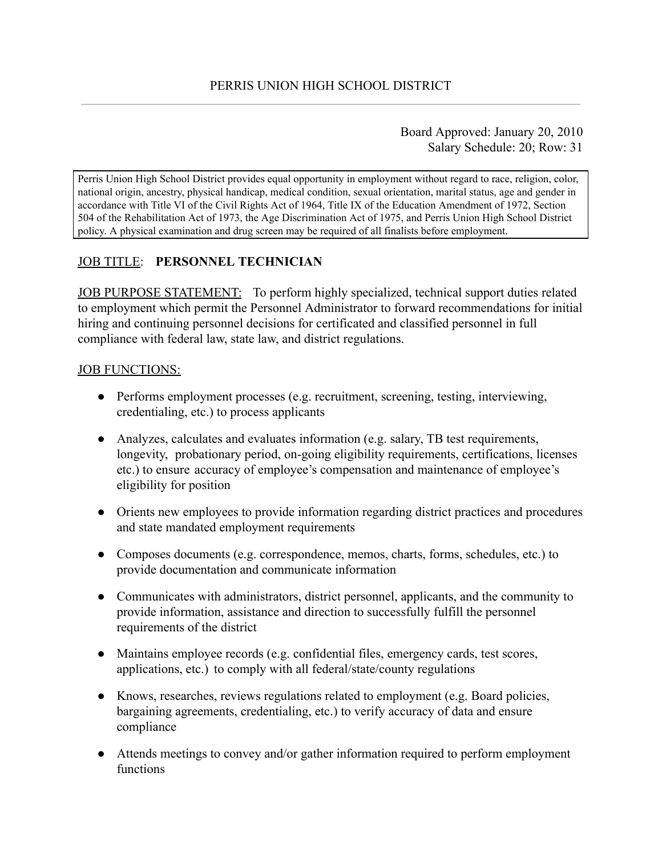Board Approved: January 20, 2010 Salary Schedule: 20; Row: 31

Perris Union High School District provides equal opportunity in employment without regard to race, religion, color, national origin, ancestry, physical handicap, medical condition, sexual orientation, marital status, age and gender in accordance with Title VI of the Civil Rights Act of 1964, Title IX of the Education Amendment of 1972, Section 504 of the Rehabilitation Act of 1973, the Age Discrimination Act of 1975, and Perris Union High School District policy. A physical examination and drug screen may be required of all finalists before employment.

# JOB TITLE: **PERSONNEL TECHNICIAN**

JOB PURPOSE STATEMENT: To perform highly specialized, technical support duties related to employment which permit the Personnel Administrator to forward recommendations for initial hiring and continuing personnel decisions for certificated and classified personnel in full compliance with federal law, state law, and district regulations.

#### JOB FUNCTIONS:

- Performs employment processes (e.g. recruitment, screening, testing, interviewing, credentialing, etc.) to process applicants
- Analyzes, calculates and evaluates information (e.g. salary, TB test requirements, longevity, probationary period, on-going eligibility requirements, certifications, licenses etc.) to ensure accuracy of employee's compensation and maintenance of employee's eligibility for position
- Orients new employees to provide information regarding district practices and procedures and state mandated employment requirements
- Composes documents (e.g. correspondence, memos, charts, forms, schedules, etc.) to provide documentation and communicate information
- Communicates with administrators, district personnel, applicants, and the community to provide information, assistance and direction to successfully fulfill the personnel requirements of the district
- Maintains employee records (e.g. confidential files, emergency cards, test scores, applications, etc.) to comply with all federal/state/county regulations
- Knows, researches, reviews regulations related to employment (e.g. Board policies, bargaining agreements, credentialing, etc.) to verify accuracy of data and ensure compliance
- Attends meetings to convey and/or gather information required to perform employment functions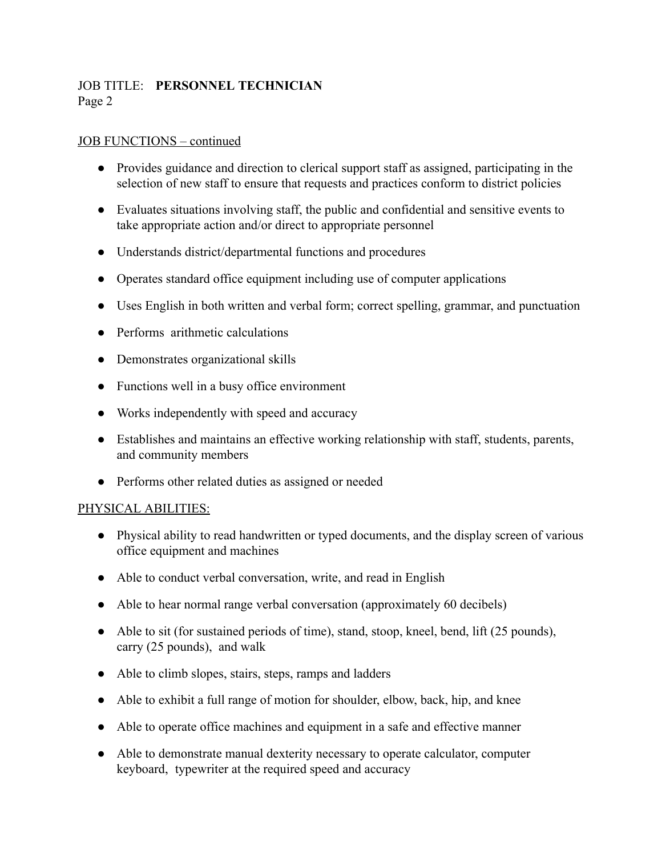## JOB TITLE: **PERSONNEL TECHNICIAN** Page 2

#### JOB FUNCTIONS – continued

- Provides guidance and direction to clerical support staff as assigned, participating in the selection of new staff to ensure that requests and practices conform to district policies
- Evaluates situations involving staff, the public and confidential and sensitive events to take appropriate action and/or direct to appropriate personnel
- Understands district/departmental functions and procedures
- Operates standard office equipment including use of computer applications
- Uses English in both written and verbal form; correct spelling, grammar, and punctuation
- Performs arithmetic calculations
- Demonstrates organizational skills
- Functions well in a busy office environment
- Works independently with speed and accuracy
- Establishes and maintains an effective working relationship with staff, students, parents, and community members
- Performs other related duties as assigned or needed

#### PHYSICAL ABILITIES:

- Physical ability to read handwritten or typed documents, and the display screen of various office equipment and machines
- Able to conduct verbal conversation, write, and read in English
- Able to hear normal range verbal conversation (approximately 60 decibels)
- Able to sit (for sustained periods of time), stand, stoop, kneel, bend, lift (25 pounds), carry (25 pounds), and walk
- Able to climb slopes, stairs, steps, ramps and ladders
- Able to exhibit a full range of motion for shoulder, elbow, back, hip, and knee
- Able to operate office machines and equipment in a safe and effective manner
- Able to demonstrate manual dexterity necessary to operate calculator, computer keyboard, typewriter at the required speed and accuracy